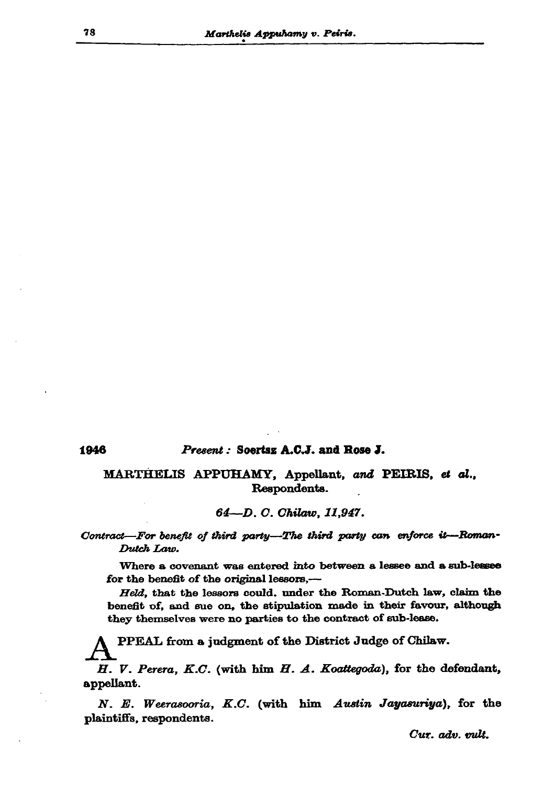## Present: Soertsz A.C.J. and Rose J.

MARTHELIS APPUHAMY, Appellant, and PEIRIS, et al., Respondents.

64-D. C. Chilaw, 11,947.

Contract-For benefit of third party-The third party can enforce it-Roman-Dutch Law.

Where a covenant was entered into between a lessee and a sub-lessee for the benefit of the original lessors,-

Held, that the lessors could. under the Roman-Dutch law, claim the benefit of, and sue on, the stipulation made in their favour, although they themselves were no parties to the contract of sub-lease.

PPEAL from a judgment of the District Judge of Chilaw.

 $H.$  V. Perera, K.C. (with him  $H.$  A. Koattegoda), for the defendant, appellant.

N. E. Weerasooria, K.C. (with him Austin Jayasuriya), for the plaintiffs, respondents.

78

Cur. adv. vult.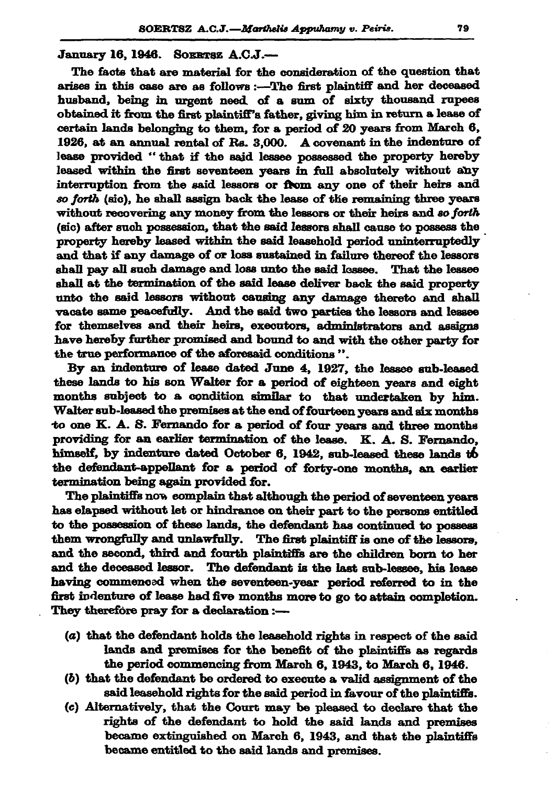January 16, 1946. SOERTSZ A.C.J.-

The facts that are material for the consideration of the question that arises in this case are as follows :- The first plaintiff and her deceased husband, being in urgent need of a sum of sixty thousand rupees obtained it from the first plaintiff's father, giving him in return a lease of certain lands belonging to them, for a period of 20 years from March 6, 1926, at an annual rental of Rs. 3,000. A covenant in the indenture of lease provided "that if the said lessee possessed the property hereby leased within the first seventeen years in full absolutely without any interruption from the said lessors or from any one of their heirs and so forth (sic), he shall assign back the lease of the remaining three years without recovering any money from the lessors or their heirs and so forth (sic) after such possession, that the said lessors shall cause to possess the property hereby leased within the said leasehold period uninterruptedly and that if any damage of or loss sustained in failure thereof the lessors shall pay all such damage and loss unto the said lessee. That the lessee shall at the termination of the said lease deliver back the said property unto the said lessors without causing any damage thereto and shall vacate same peacefully. And the said two parties the lessors and lessee for themselves and their heirs, executors, administrators and assigns have hereby further promised and bound to and with the other party for the true performance of the aforesaid conditions".

By an indenture of lease dated June 4, 1927, the lessee sub-leased these lands to his son Walter for a period of eighteen years and eight months subject to a condition similar to that undertaken by him. Walter sub-leased the premises at the end of fourteen years and six months to one K. A. S. Fernando for a period of four years and three months providing for an earlier termination of the lease. K. A. S. Fernando, himself, by indenture dated October 6, 1942, sub-leased these lands to the defendant-appellant for a period of forty-one months, an earlier termination being again provided for.

The plaintiffs now complain that although the period of seventeen years has elapsed without let or hindrance on their part to the persons entitled to the possession of these lands, the defendant has continued to possess them wrongfully and unlawfully. The first plaintiff is one of the lessors, and the second, third and fourth plaintiffs are the children born to her and the deceased lessor. The defendant is the last sub-lessee, his lease having commenced when the seventeen-year period referred to in the first indenture of lease had five months more to go to attain completion. They therefore pray for a declaration :-

- (a) that the defendant holds the leasehold rights in respect of the said lands and premises for the benefit of the plaintiffs as regards the period commencing from March 6, 1943, to March 6, 1946.
- $(b)$  that the defendant be ordered to execute a valid assignment of the said leasehold rights for the said period in favour of the plaintiffs.
- (c) Alternatively, that the Court may be pleased to declare that the rights of the defendant to hold the said lands and premises became extinguished on March 6, 1943, and that the plaintiffs became entitled to the said lands and premises.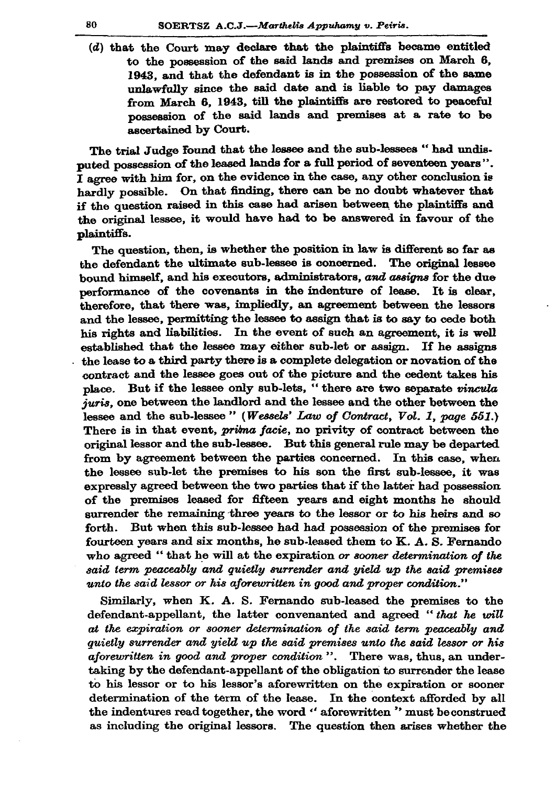$(d)$  that the Court may declare that the plaintiffs became entitled to the possession of the said lands and premises on March 6. 1943, and that the defendant is in the possession of the same unlawfully since the said date and is liable to pay damages from March 6, 1943, till the plaintiffs are restored to peaceful possession of the said lands and premises at a rate to be ascertained by Court.

The trial Judge found that the lessee and the sub-lessees " had undisputed possession of the leased lands for a full period of seventeen vears".  $I$  agree with him for, on the evidence in the case, any other conclusion is hardly possible. On that finding, there can be no doubt whatever that if the question raised in this case had arisen between the plaintiffs and the original lessee, it would have had to be answered in favour of the plaintiffs.

The question, then, is whether the position in law is different so far as the defendant the ultimate sub-lessee is concerned. The original lessee bound himself, and his executors, administrators, and assigns for the due performance of the covenants in the indenture of lease. It is clear, therefore, that there was, impliedly, an agreement between the lessors and the lessee, permitting the lessee to assign that is to say to cede both his rights and liabilities. In the event of such an agreement, it is well established that the lessee may either sub-let or assign. If he assigns the lease to a third party there is a complete delegation or novation of the contract and the lessee goes out of the picture and the cedent takes his place. But if the lessee only sub-lets, "there are two separate vincula juris, one between the landlord and the lessee and the other between the lessee and the sub-lessee" (Wessels' Law of Contract, Vol. 1, page 551.) There is in that event, *prima facie*, no privity of contract between the original lessor and the sub-lessee. But this general rule may be departed from by agreement between the parties concerned. In this case, when the lessee sub-let the premises to his son the first sub-lessee, it was expressly agreed between the two parties that if the latter had possession of the premises leased for fifteen years and eight months he should surrender the remaining three years to the lessor or to his heirs and so But when this sub-lessee had had possession of the premises for forth. fourteen years and six months, he sub-leased them to K. A. S. Fernando who agreed "that he will at the expiration or sooner determination of the said term peaceably and quietly surrender and yield up the said premises unto the said lessor or his aforewritten in good and proper condition."

Similarly, when K. A. S. Fernando sub-leased the premises to the defendant-appellant, the latter convenanted and agreed "that he will at the expiration or sooner determination of the said term peaceably and quietly surrender and yield up the said premises unto the said lessor or his aforewritten in good and proper condition". There was, thus, an undertaking by the defendant-appellant of the obligation to surrender the lease to his lessor or to his lessor's aforewritten on the expiration or sooner determination of the term of the lease. In the context afforded by all the indentures read together, the word " aforewritten " must be construed as including the original lessors. The question then arises whether the